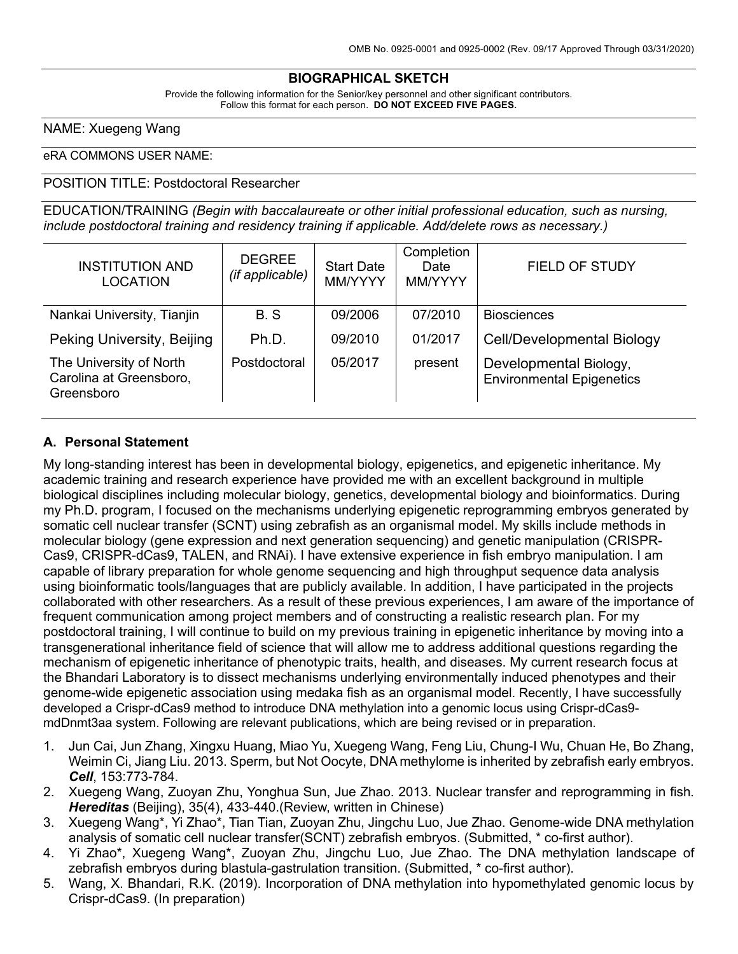### **BIOGRAPHICAL SKETCH**

Provide the following information for the Senior/key personnel and other significant contributors. Follow this format for each person. **DO NOT EXCEED FIVE PAGES.**

NAME: Xuegeng Wang

#### eRA COMMONS USER NAME:

#### POSITION TITLE: Postdoctoral Researcher

EDUCATION/TRAINING *(Begin with baccalaureate or other initial professional education, such as nursing, include postdoctoral training and residency training if applicable. Add/delete rows as necessary.)*

| <b>INSTITUTION AND</b><br><b>LOCATION</b>                        | <b>DEGREE</b><br>(if applicable) | <b>Start Date</b><br>MM/YYYY | Completion<br>Date<br>MM/YYYY | <b>FIELD OF STUDY</b>                                      |
|------------------------------------------------------------------|----------------------------------|------------------------------|-------------------------------|------------------------------------------------------------|
| Nankai University, Tianjin                                       | B.S                              | 09/2006                      | 07/2010                       | <b>Biosciences</b>                                         |
| Peking University, Beijing                                       | Ph.D.                            | 09/2010                      | 01/2017                       | <b>Cell/Developmental Biology</b>                          |
| The University of North<br>Carolina at Greensboro,<br>Greensboro | Postdoctoral                     | 05/2017                      | present                       | Developmental Biology,<br><b>Environmental Epigenetics</b> |

#### **A. Personal Statement**

My long-standing interest has been in developmental biology, epigenetics, and epigenetic inheritance. My academic training and research experience have provided me with an excellent background in multiple biological disciplines including molecular biology, genetics, developmental biology and bioinformatics. During my Ph.D. program, I focused on the mechanisms underlying epigenetic reprogramming embryos generated by somatic cell nuclear transfer (SCNT) using zebrafish as an organismal model. My skills include methods in molecular biology (gene expression and next generation sequencing) and genetic manipulation (CRISPR-Cas9, CRISPR-dCas9, TALEN, and RNAi). I have extensive experience in fish embryo manipulation. I am capable of library preparation for whole genome sequencing and high throughput sequence data analysis using bioinformatic tools/languages that are publicly available. In addition, I have participated in the projects collaborated with other researchers. As a result of these previous experiences, I am aware of the importance of frequent communication among project members and of constructing a realistic research plan. For my postdoctoral training, I will continue to build on my previous training in epigenetic inheritance by moving into a transgenerational inheritance field of science that will allow me to address additional questions regarding the mechanism of epigenetic inheritance of phenotypic traits, health, and diseases. My current research focus at the Bhandari Laboratory is to dissect mechanisms underlying environmentally induced phenotypes and their genome-wide epigenetic association using medaka fish as an organismal model. Recently, I have successfully developed a Crispr-dCas9 method to introduce DNA methylation into a genomic locus using Crispr-dCas9 mdDnmt3aa system. Following are relevant publications, which are being revised or in preparation.

- 1. Jun Cai, Jun Zhang, Xingxu Huang, Miao Yu, Xuegeng Wang, Feng Liu, Chung-I Wu, Chuan He, Bo Zhang, Weimin Ci, Jiang Liu. 2013. Sperm, but Not Oocyte, DNA methylome is inherited by zebrafish early embryos. *Cell*, 153:773-784.
- 2. Xuegeng Wang, Zuoyan Zhu, Yonghua Sun, Jue Zhao. 2013. Nuclear transfer and reprogramming in fish. *Hereditas* (Beijing), 35(4), 433-440.(Review, written in Chinese)
- 3. Xuegeng Wang\*, Yi Zhao\*, Tian Tian, Zuoyan Zhu, Jingchu Luo, Jue Zhao. Genome-wide DNA methylation analysis of somatic cell nuclear transfer(SCNT) zebrafish embryos. (Submitted, \* co-first author).
- 4. Yi Zhao\*, Xuegeng Wang\*, Zuoyan Zhu, Jingchu Luo, Jue Zhao. The DNA methylation landscape of zebrafish embryos during blastula-gastrulation transition. (Submitted, \* co-first author).
- 5. Wang, X. Bhandari, R.K. (2019). Incorporation of DNA methylation into hypomethylated genomic locus by Crispr-dCas9. (In preparation)